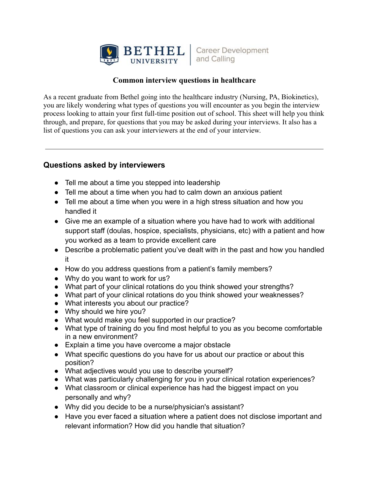

**Career Development** and Calling

## **Common interview questions in healthcare**

As a recent graduate from Bethel going into the healthcare industry (Nursing, PA, Biokinetics), you are likely wondering what types of questions you will encounter as you begin the interview process looking to attain your first full-time position out of school. This sheet will help you think through, and prepare, for questions that you may be asked during your interviews. It also has a list of questions you can ask your interviewers at the end of your interview.

## **Questions asked by interviewers**

- Tell me about a time you stepped into leadership
- Tell me about a time when you had to calm down an anxious patient
- Tell me about a time when you were in a high stress situation and how you handled it
- Give me an example of a situation where you have had to work with additional support staff (doulas, hospice, specialists, physicians, etc) with a patient and how you worked as a team to provide excellent care
- Describe a problematic patient you've dealt with in the past and how you handled it
- How do you address questions from a patient's family members?
- Why do you want to work for us?
- What part of your clinical rotations do you think showed your strengths?
- What part of your clinical rotations do you think showed your weaknesses?
- What interests you about our practice?
- Why should we hire you?
- What would make you feel supported in our practice?
- What type of training do you find most helpful to you as you become comfortable in a new environment?
- Explain a time you have overcome a major obstacle
- What specific questions do you have for us about our practice or about this position?
- What adjectives would you use to describe yourself?
- What was particularly challenging for you in your clinical rotation experiences?
- What classroom or clinical experience has had the biggest impact on you personally and why?
- Why did you decide to be a nurse/physician's assistant?
- Have you ever faced a situation where a patient does not disclose important and relevant information? How did you handle that situation?